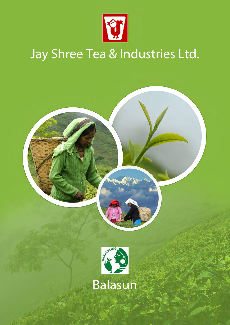

## Jay Shree Tea & Industries Ltd.

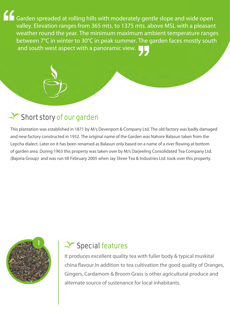Garden spreaded at rolling hills with moderately gentle slope and wide open valley. Elevation ranges from 365 mts. to 1375 mts. above MSL with a pleasant weather round the year. The minimum maximum ambient temperature ranges between 7°C in winter to 30°C in peak summer. The garden faces mostly south and south west aspect with a panoramic view.

#### Short story of our garden

This plantation was established in 1871 by M/s Devenport & Company Ltd. The old factory was badly damaged and new factory constructed in 1932. The original name of the Garden was Nahore Balasun taken from the Lepcha dialect. Later on it has been renamed as Balasun only based on a name of a river flowing at bottom of garden area. During 1963 this property was taken over by M/s Darjeeling Consolidated Tea Company Ltd. (Bajoria Group) and was run till February 2005 when Jay Shree Tea & Industries Ltd. took over this property.



#### Special features

It produces excellent quality tea with fuller body & typical muskital china flavour.In addition to tea cultivation the good quality of Oranges, Gingers, Cardamom & Broom Grass is other agricultural produce and alternate source of sustenance for local inhabitants.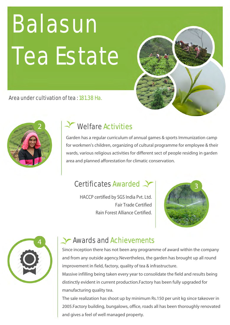# Balasun Tea Estate



Area under cultivation of tea : 181.38 Ha.



#### Welfare Activities

Garden has a regular curriculum of annual games & sports Immunization camp for workmen's children, organizing of cultural programme for employee & their wards, various religious activities for different sect of people residing in garden area and planned afforestation for climatic conservation.

#### Certificates Awarded

HACCP certified by SGS India Pvt. Ltd. Fair Trade Certified Rain Forest Alliance Certified.





#### **Awards and Achievements**

Since inception there has not been any programme of award within the company and from any outside agency.Nevertheless, the garden has brought up all round improvement in field, factory, quality of tea & infrastructure.

Massive infilling being taken every year to consolidate the field and results being distinctly evident in current production.Factory has been fully upgraded for manufacturing quality tea.

The sale realization has shoot up by minimum Rs.150 per unit kg since takeover in 2005.Factory building, bungalows, office, roads all has been thoroughly renovated and gives a feel of well managed property.